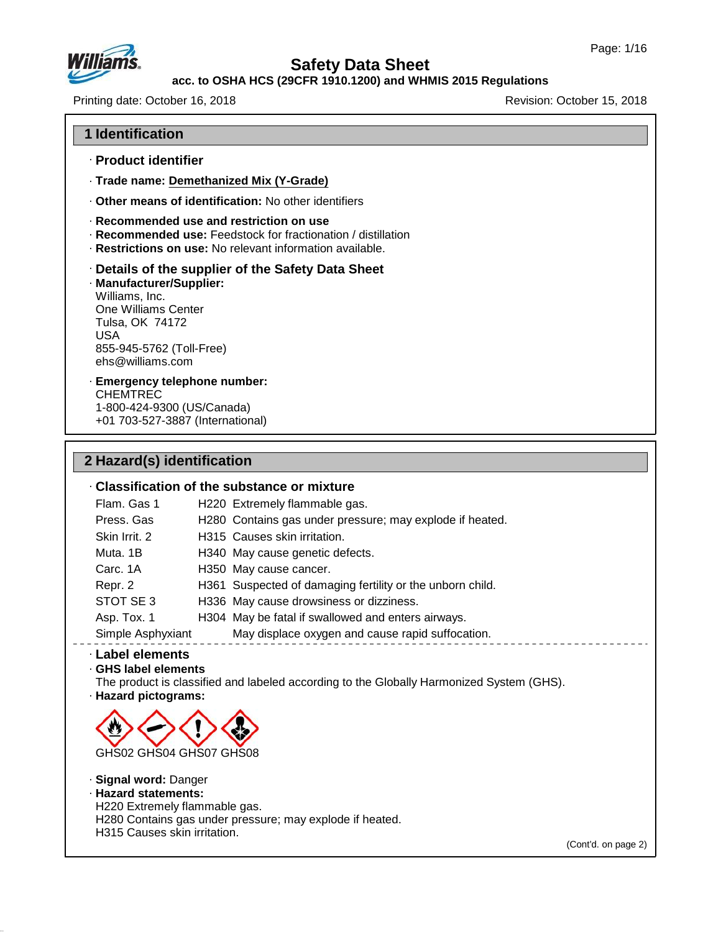

## **acc. to OSHA HCS (29CFR 1910.1200) and WHMIS 2015 Regulations**

Printing date: October 16, 2018 **Revision: October 15, 2018** Revision: October 15, 2018

### **1 Identification**

- · **Product identifier**
- · **Trade name: Demethanized Mix (Y-Grade)**
- · **Other means of identification:** No other identifiers
- · **Recommended use and restriction on use**
- · **Recommended use:** Feedstock for fractionation / distillation
- · **Restrictions on use:** No relevant information available.

### · **Details of the supplier of the Safety Data Sheet**

· **Manufacturer/Supplier:** Williams, Inc. One Williams Center Tulsa, OK 74172 USA 855-945-5762 (Toll-Free) ehs@williams.com

#### · **Emergency telephone number:** CHEMTREC 1-800-424-9300 (US/Canada)

+01 703-527-3887 (International)

# **2 Hazard(s) identification**

### · **Classification of the substance or mixture**

| Flam. Gas 1       | H220 Extremely flammable gas.                             |
|-------------------|-----------------------------------------------------------|
| Press, Gas        | H280 Contains gas under pressure; may explode if heated.  |
| Skin Irrit. 2     | H315 Causes skin irritation.                              |
| Muta. 1B          | H340 May cause genetic defects.                           |
| Carc. 1A          | H350 May cause cancer.                                    |
| Repr. 2           | H361 Suspected of damaging fertility or the unborn child. |
| STOT SE 3         | H336 May cause drowsiness or dizziness.                   |
| Asp. Tox. 1       | H304 May be fatal if swallowed and enters airways.        |
| Simple Asphyxiant | May displace oxygen and cause rapid suffocation.          |

#### · **Label elements**

### · **GHS label elements**

The product is classified and labeled according to the Globally Harmonized System (GHS).

· **Hazard pictograms:**



#### · **Signal word:** Danger · **Hazard statements:**

H220 Extremely flammable gas.

H280 Contains gas under pressure; may explode if heated.

H315 Causes skin irritation.

47.0.13

(Cont'd. on page 2)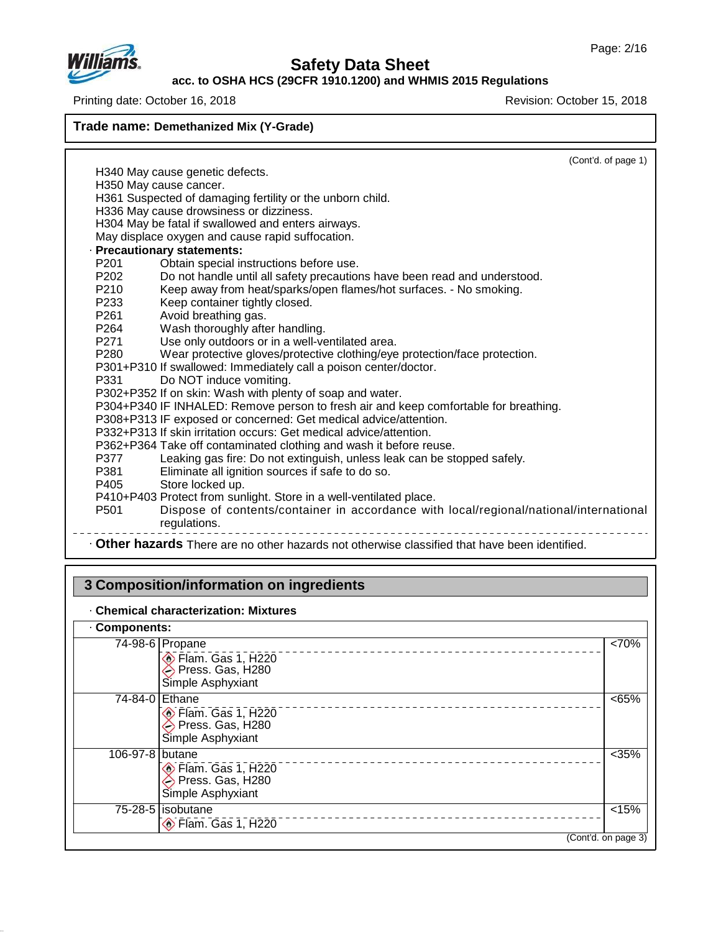

**acc. to OSHA HCS (29CFR 1910.1200) and WHMIS 2015 Regulations**

Printing date: October 16, 2018 **Revision: October 15, 2018** Revision: October 15, 2018

**Trade name: Demethanized Mix (Y-Grade)**

(Cont'd. of page 1) H340 May cause genetic defects. H350 May cause cancer. H361 Suspected of damaging fertility or the unborn child. H336 May cause drowsiness or dizziness. H304 May be fatal if swallowed and enters airways. May displace oxygen and cause rapid suffocation. · **Precautionary statements:** P201 Obtain special instructions before use. P202 Do not handle until all safety precautions have been read and understood.<br>P210 Keep away from heat/sparks/open flames/hot surfaces. - No smoking. Keep away from heat/sparks/open flames/hot surfaces. - No smoking. P233 Keep container tightly closed.<br>P261 Avoid breathing gas. P261 Avoid breathing gas.<br>P264 Wash thoroughly after Wash thoroughly after handling. P271 Use only outdoors or in a well-ventilated area. P280 Wear protective gloves/protective clothing/eye protection/face protection. P301+P310 If swallowed: Immediately call a poison center/doctor. Do NOT induce vomiting. P302+P352 If on skin: Wash with plenty of soap and water. P304+P340 IF INHALED: Remove person to fresh air and keep comfortable for breathing. P308+P313 IF exposed or concerned: Get medical advice/attention. P332+P313 If skin irritation occurs: Get medical advice/attention. P362+P364 Take off contaminated clothing and wash it before reuse. P377 Leaking gas fire: Do not extinguish, unless leak can be stopped safely.<br>P381 Eliminate all ignition sources if safe to do so. P381 Eliminate all ignition sources if safe to do so.<br>P405 Store locked up. Store locked up. P410+P403 Protect from sunlight. Store in a well-ventilated place.<br>P501 Dispose of contents/container in accordance wit Dispose of contents/container in accordance with local/regional/national/international regulations. \_\_\_\_\_\_\_\_\_\_\_\_\_\_\_\_ · **Other hazards** There are no other hazards nototherwise classified that have been identified.

## **3 Composition/information on ingredients**

#### · **Chemical characterization: Mixtures**

### · **Components:**

47.0.13

| <b>OUTINUILUS.</b> |                                                             |                     |
|--------------------|-------------------------------------------------------------|---------------------|
|                    | $74-98-6$ Propane<br>Flam. Gas 1, H220<br>Simple Asphyxiant | <70%                |
| 74-84-0 Ethane     | Flam. Gas 1, H220<br>Press. Gas, H280<br>Simple Asphyxiant  | <65%                |
| 106-97-8 butane    | Elam. Gas 1, H220<br>Press. Gas, H280<br>Simple Asphyxiant  | < 35%               |
|                    | 75-28-5 isobutane<br>Flam. Gas 1, H220                      | < 15%               |
|                    |                                                             | (Cont'd. on page 3) |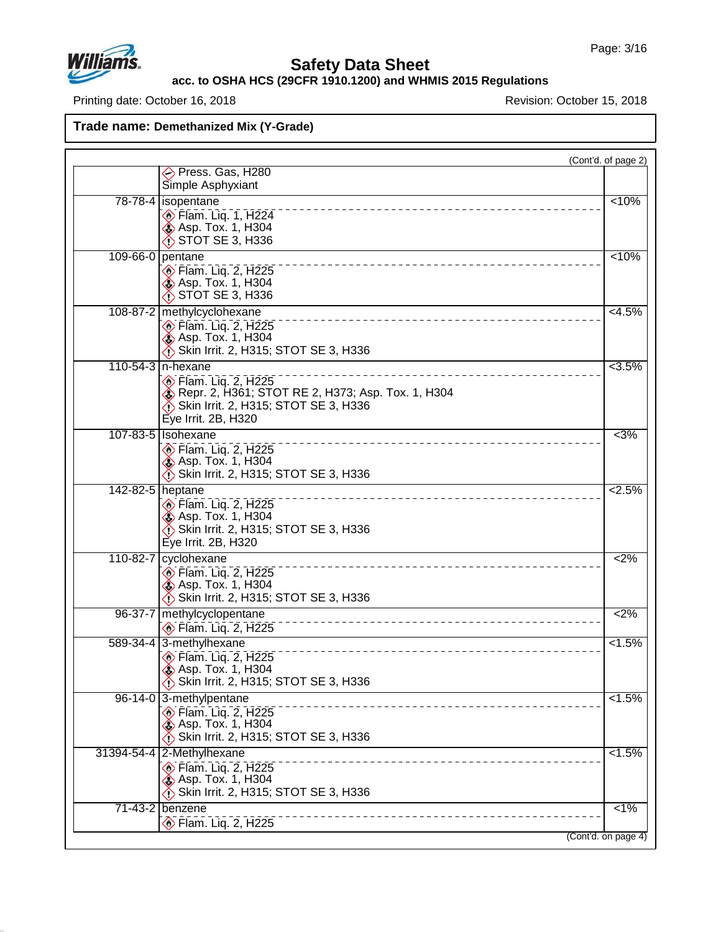

## **Safety Data Sheet**

**acc. to OSHA HCS (29CFR 1910.1200) and WHMIS 2015 Regulations**

Printing date: October 16, 2018 **Printing date: October 16, 2018** 

|                  |                                                                                                                                                                                  | (Cont'd. of page 2) |
|------------------|----------------------------------------------------------------------------------------------------------------------------------------------------------------------------------|---------------------|
|                  | Press. Gas, H280                                                                                                                                                                 |                     |
|                  | Simple Asphyxiant                                                                                                                                                                |                     |
|                  | 78-78-4 isopentane<br>Flam. Liq. 1, H224<br><b>&amp; Asp. Tox. 1, H304</b><br>STOT SE 3, H336                                                                                    | < 10%               |
|                  | 109-66-0 pentane<br>Flam. Liq. 2, H225<br><b>&amp; Asp. Tox. 1, H304</b><br>$\bigcirc$ STOT SE 3, H336                                                                           | < 10%               |
|                  | 108-87-2 methylcyclohexane<br>$\circ$ Flam. Liq. 2, H225<br><b>&amp; Asp. Tox. 1, H304</b><br>Skin Irrit. 2, H315; STOT SE 3, H336                                               | $< 4.5\%$           |
|                  | 110-54-3 n-hexane<br>$\circ$ Flam. Lig. 2, H225<br><b>&amp;</b> Repr. 2, H361; STOT RE 2, H373; Asp. Tox. 1, H304<br>Skin Irrit. 2, H315; STOT SE 3, H336<br>Eye Irrit. 2B, H320 | $\sqrt{3.5\%}$      |
|                  | 107-83-5   Isohexane<br><b>Elam.</b> Liq. 2, H225<br><b>&amp; Asp. Tox. 1, H304</b><br>Skin Irrit. 2, H315; STOT SE 3, H336                                                      | $<$ 3%              |
| 142-82-5 heptane | $\circledcirc$ Flam. Liq. 2, H225<br><b>Asp. Tox. 1, H304</b><br>Skin Irrit. 2, H315; STOT SE 3, H336<br>Eye Irrit. 2B, H320                                                     | 2.5%                |
| 110-82-7         | cyclohexane<br><b>Elam.</b> Liq. 2, H225<br><b>&amp; Asp. Tox. 1, H304</b><br>Skin Irrit. 2, H315; STOT SE 3, H336                                                               | 2%                  |
| 96-37-7          | methylcyclopentane<br>Flam. Liq. 2, H225                                                                                                                                         | <2%                 |
|                  | 589-34-4 3-methylhexane<br>$\circledcirc$ Flam. Liq. 2, H225<br><b>Asp. Tox. 1, H304</b><br>Skin Irrit. 2, H315; STOT SE 3, H336                                                 | 1.5%                |
|                  | 96-14-0 3-methylpentane<br><b>Elam.</b> Lig. 2, H225<br><b>&amp; Asp. Tox. 1, H304</b><br>Skin Irrit. 2, H315; STOT SE 3, H336                                                   | $1.5\%$             |
|                  | 31394-54-4 2-Methylhexane<br>________________________________<br>$\circ$ Flam. Liq. 2, H225<br>Asp. Tox. 1, H304<br>Skin Irrit. 2, H315; STOT SE 3, H336                         | $< 1.5\%$           |
|                  |                                                                                                                                                                                  |                     |
| 71-43-2 benzene  | ______________________________<br>$\circledcirc$ Flam. Liq. 2, H225                                                                                                              | $\overline{1\%}$    |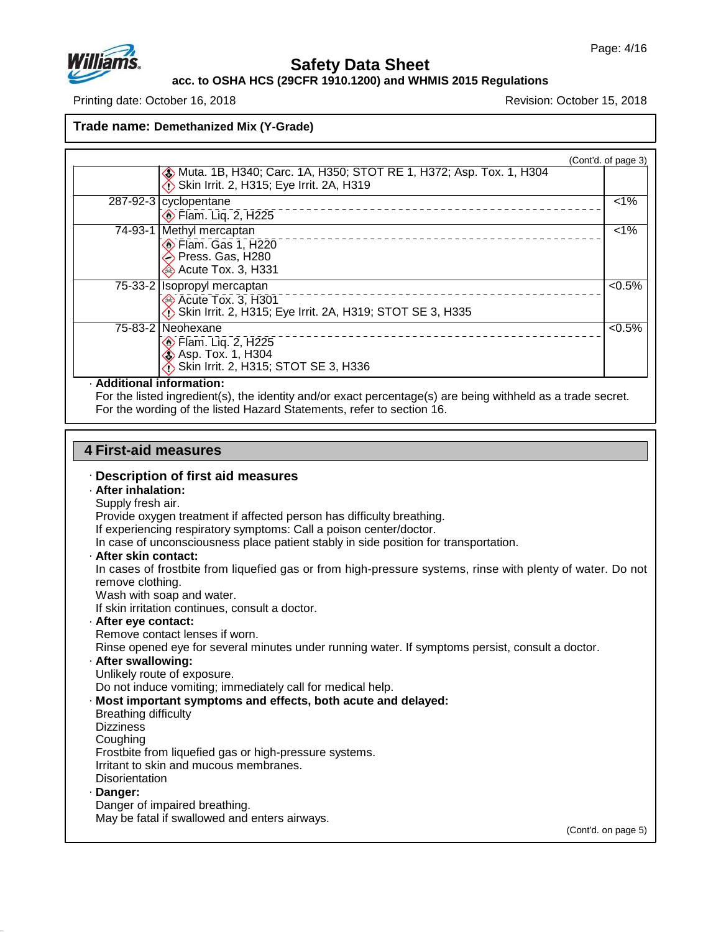

**acc. to OSHA HCS (29CFR 1910.1200) and WHMIS 2015 Regulations**

Printing date: October 16, 2018 **Revision: October 15, 2018** Revision: October 15, 2018

**Trade name: Demethanized Mix (Y-Grade)**

| <b>&amp; Muta. 1B, H340; Carc. 1A, H350; STOT RE 1, H372; Asp. Tox. 1, H304</b><br>Skin Irrit. 2, H315; Eye Irrit. 2A, H319 | (Cont'd. of page 3) |
|-----------------------------------------------------------------------------------------------------------------------------|---------------------|
| 287-92-3   cyclopentane<br><b>Elam.</b> Liq. 2, H225                                                                        | $1\%$               |
| 74-93-1 Methyl mercaptan<br>Flam. Gas 1, H220<br>Press. Gas, H280<br>Acute Tox. 3, H331                                     | $1\%$               |
| 75-33-2   Isopropyl mercaptan<br>Acute Tox. 3, H301<br>Skin Irrit. 2, H315; Eye Irrit. 2A, H319; STOT SE 3, H335            | $< 0.5\%$           |
| 75-83-2 Neohexane<br>⊙ Flam. Liq. 2, H225<br>← Asp. Tox. 1, H304<br>Skin Irrit. 2, H315; STOT SE 3, H336                    | $< 0.5\%$           |

#### · **Additional information:**

For the listed ingredient(s), the identity and/or exact percentage(s) are being withheld as a trade secret. For the wording of the listed Hazard Statements, refer to section 16.

### **4 First-aid measures**

#### · **Description of first aid measures**

#### · **After inhalation:**

Supply fresh air.

Provide oxygen treatment if affected person has difficulty breathing.

If experiencing respiratory symptoms: Call a poison center/doctor.

In case of unconsciousness place patient stably in side position for transportation.

· **After skin contact:**

In cases of frostbite from liquefied gas or from high-pressure systems, rinse with plenty of water. Do not remove clothing.

Wash with soap and water.

If skin irritation continues, consult a doctor.

· **After eye contact:**

Remove contact lenses if worn.

Rinse opened eye for several minutes under running water. If symptoms persist, consult a doctor.

· **After swallowing:**

Unlikely route of exposure.

Do not induce vomiting; immediately call for medical help.

· **Most important symptoms and effects, both acute and delayed:**

- Breathing difficulty
- **Dizziness**

Coughing

Frostbite from liquefied gas or high-pressure systems.

Irritant to skin and mucous membranes.

**Disorientation** 

#### · **Danger:**

47.0.13

Danger of impaired breathing. May be fatal if swallowed and enters airways.

(Cont'd. on page 5)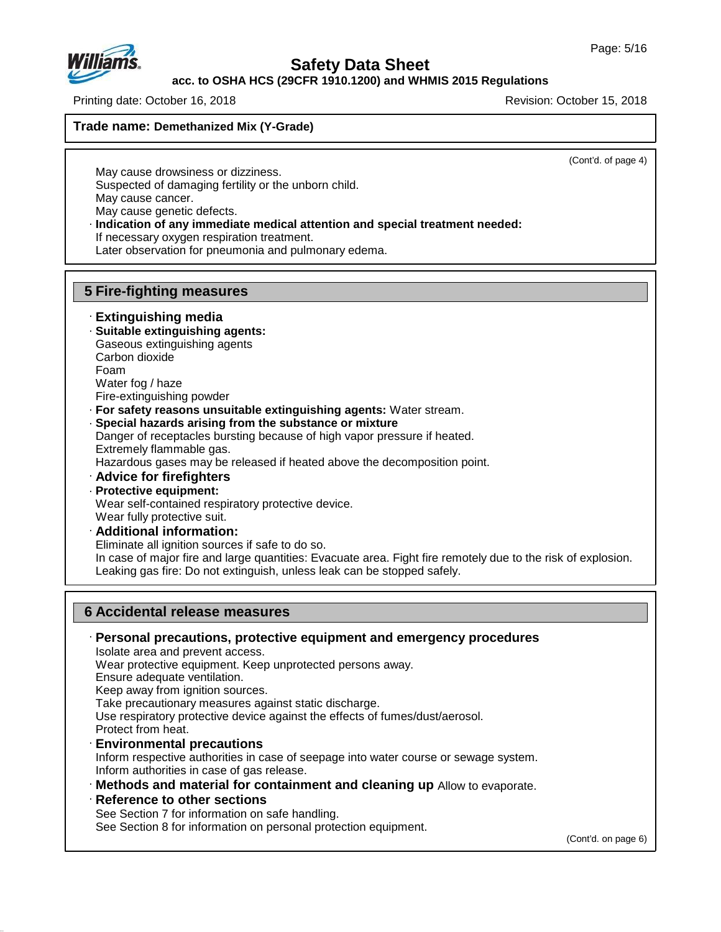

**acc. to OSHA HCS (29CFR 1910.1200) and WHMIS 2015 Regulations**

Printing date: October 16, 2018 **Revision: October 15, 2018** Revision: October 15, 2018

**Trade name: Demethanized Mix (Y-Grade)**

(Cont'd. of page 4)

May cause drowsiness or dizziness. Suspected of damaging fertility or the unborn child. May cause cancer. May cause genetic defects.

· **Indication of any immediate medical attention and special treatment needed:**

If necessary oxygen respiration treatment.

Later observation for pneumonia and pulmonary edema.

## **5 Fire-fighting measures**

### · **Extinguishing media**

· **Suitable extinguishing agents:** Gaseous extinguishing agents Carbon dioxide Foam Water fog / haze

Fire-extinguishing powder

- · **For safety reasons unsuitable extinguishing agents:** Water stream.
- · **Special hazards arising from the substance or mixture**

Danger of receptacles bursting because of high vapor pressure if heated. Extremely flammable gas.

Hazardous gases may be released if heated above the decomposition point.

· **Advice for firefighters**

## · **Protective equipment:**

47.0.13

Wear self-contained respiratory protective device.

- Wear fully protective suit.
- · **Additional information:**

Eliminate all ignition sources if safe to do so.

In case of major fire and large quantities: Evacuate area. Fight fire remotely due to the risk of explosion. Leaking gas fire: Do not extinguish, unless leak can be stopped safely.

### **6 Accidental release measures**

· **Personal precautions, protective equipment and emergency procedures** Isolate area and prevent access. Wear protective equipment. Keep unprotected persons away. Ensure adequate ventilation. Keep away from ignition sources. Take precautionary measures against static discharge. Use respiratory protective device against the effects of fumes/dust/aerosol. Protect from heat. · **Environmental precautions** Inform respective authorities in case of seepage into water course or sewage system. Inform authorities in case of gas release. · **Methods and material for containment and cleaning up** Allow to evaporate. · **Reference to other sections**

See Section 7 for information on safe handling. See Section 8 for information on personal protection equipment.

(Cont'd. on page 6)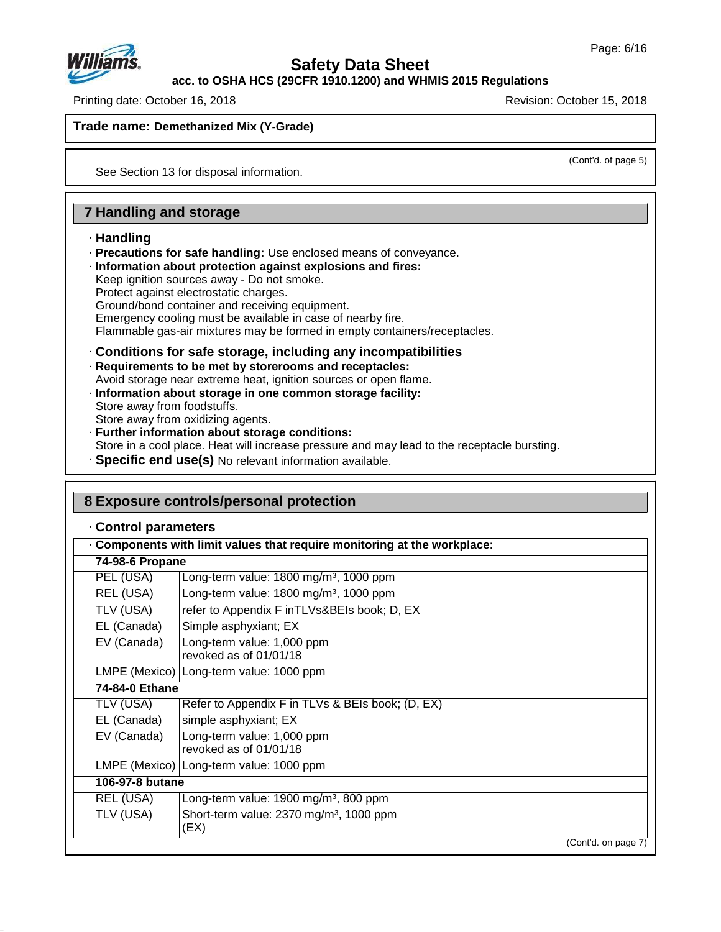

**acc. to OSHA HCS (29CFR 1910.1200) and WHMIS 2015 Regulations**

Printing date: October 16, 2018 **Revision: October 15, 2018** Revision: October 15, 2018

**Trade name: Demethanized Mix (Y-Grade)**

(Cont'd. of page 5)

See Section 13 for disposal information.

### **7 Handling and storage**

### · **Handling**

- · **Precautions for safe handling:** Use enclosed means of conveyance.
- · **Information about protection against explosions and fires:**
- Keep ignition sources away Do not smoke.
- Protect against electrostatic charges.

Ground/bond container and receiving equipment.

Emergency cooling must be available in case of nearby fire.

Flammable gas-air mixtures may be formed in empty containers/receptacles.

· **Conditions for safe storage, including any incompatibilities**

· **Requirements to be met by storerooms and receptacles:**

- Avoid storage near extreme heat, ignition sources or open flame.
- · **Information about storage in one common storage facility:** Store away from foodstuffs. Store away from oxidizing agents.
- · **Further information about storage conditions:** Store in a cool place. Heat will increase pressure and may lead to the receptacle bursting.
- · **Specific end use(s)** No relevant information available.

## **8 Exposure controls/personal protection**

### · **Control parameters**

47.0.13

| 74-98-6 Propane |                                                             |
|-----------------|-------------------------------------------------------------|
| PEL (USA)       | Long-term value: $1800 \text{ mg/m}^3$ , $1000 \text{ ppm}$ |
| REL (USA)       | Long-term value: $1800$ mg/m <sup>3</sup> , $1000$ ppm      |
| TLV (USA)       | refer to Appendix F in TLVs&BEIs book; D, EX                |
| EL (Canada)     | Simple asphyxiant; EX                                       |
| EV (Canada)     | Long-term value: 1,000 ppm<br>revoked as of 01/01/18        |
|                 | LMPE (Mexico) Long-term value: 1000 ppm                     |
| 74-84-0 Ethane  |                                                             |
| TLV (USA)       | Refer to Appendix F in TLVs & BEIs book; (D, EX)            |
| EL (Canada)     | simple asphyxiant; EX                                       |
| EV (Canada)     | Long-term value: 1,000 ppm<br>revoked as of 01/01/18        |
|                 | LMPE (Mexico)   Long-term value: 1000 ppm                   |
| 106-97-8 butane |                                                             |
| REL (USA)       | Long-term value: $1900 \,\mathrm{mg/m^3}$ , 800 ppm         |
| TLV (USA)       | Short-term value: 2370 mg/m <sup>3</sup> , 1000 ppm<br>(EX) |
|                 | (Cont'd. on page 7)                                         |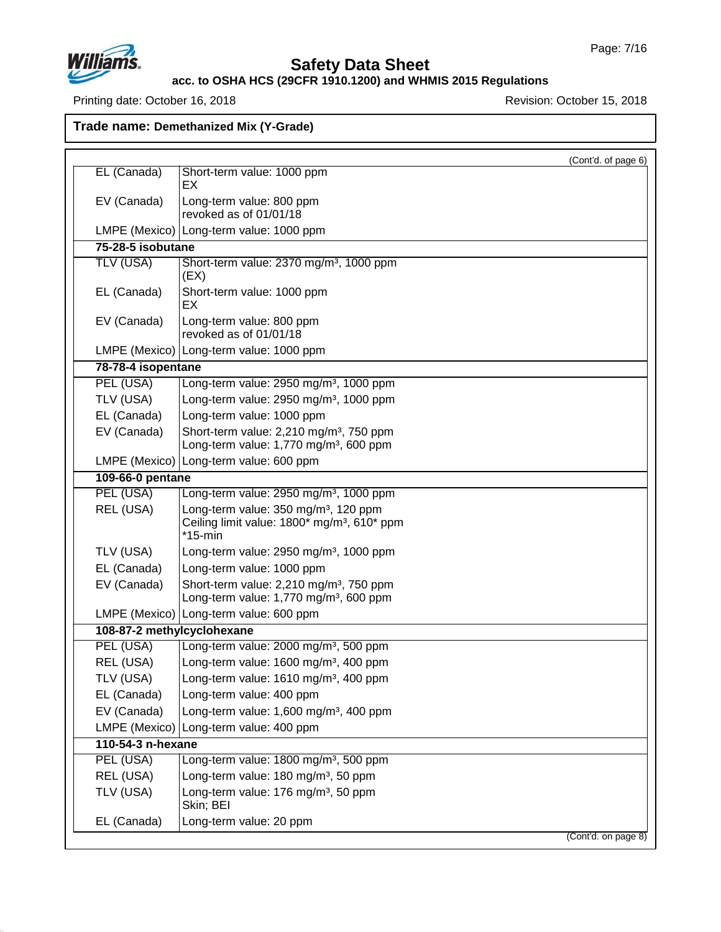

## **Safety Data Sheet**

### **acc. to OSHA HCS (29CFR 1910.1200) and WHMIS 2015 Regulations**

Printing date: October 16, 2018 **Printing date: October 16, 2018** 

|                            | (Cont'd. of page 6)                                                                                                       |  |
|----------------------------|---------------------------------------------------------------------------------------------------------------------------|--|
| EL (Canada)                | Short-term value: 1000 ppm<br>EX                                                                                          |  |
| EV (Canada)                | Long-term value: 800 ppm<br>revoked as of 01/01/18                                                                        |  |
|                            | LMPE (Mexico) Long-term value: 1000 ppm                                                                                   |  |
| 75-28-5 isobutane          |                                                                                                                           |  |
| TLV (USA)                  | Short-term value: 2370 mg/m <sup>3</sup> , 1000 ppm<br>(EX)                                                               |  |
| EL (Canada)                | Short-term value: 1000 ppm<br>EX.                                                                                         |  |
| EV (Canada)                | Long-term value: 800 ppm<br>revoked as of 01/01/18                                                                        |  |
|                            | LMPE (Mexico)   Long-term value: 1000 ppm                                                                                 |  |
| 78-78-4 isopentane         |                                                                                                                           |  |
| PEL (USA)                  | Long-term value: 2950 mg/m <sup>3</sup> , 1000 ppm                                                                        |  |
| TLV (USA)                  | Long-term value: 2950 mg/m <sup>3</sup> , 1000 ppm                                                                        |  |
| EL (Canada)                | Long-term value: 1000 ppm                                                                                                 |  |
| EV (Canada)                | Short-term value: 2,210 mg/m <sup>3</sup> , 750 ppm<br>Long-term value: 1,770 mg/m <sup>3</sup> , 600 ppm                 |  |
|                            | LMPE (Mexico) Long-term value: 600 ppm                                                                                    |  |
| 109-66-0 pentane           |                                                                                                                           |  |
| PEL (USA)                  | Long-term value: 2950 mg/m <sup>3</sup> , 1000 ppm                                                                        |  |
| REL (USA)                  | Long-term value: 350 mg/m <sup>3</sup> , 120 ppm<br>Ceiling limit value: 1800* mg/m <sup>3</sup> , 610* ppm<br>$*$ 15-min |  |
| TLV (USA)                  | Long-term value: $2950$ mg/m <sup>3</sup> , 1000 ppm                                                                      |  |
| EL (Canada)                | Long-term value: 1000 ppm                                                                                                 |  |
| EV (Canada)                | Short-term value: 2,210 mg/m <sup>3</sup> , 750 ppm<br>Long-term value: 1,770 mg/m <sup>3</sup> , 600 ppm                 |  |
|                            | LMPE (Mexico) Long-term value: 600 ppm                                                                                    |  |
| 108-87-2 methylcyclohexane |                                                                                                                           |  |
| PEL (USA)                  | Long-term value: 2000 mg/m <sup>3</sup> , 500 ppm                                                                         |  |
| REL (USA)                  | Long-term value: 1600 mg/m <sup>3</sup> , 400 ppm                                                                         |  |
| TLV (USA)                  | Long-term value: 1610 mg/m <sup>3</sup> , 400 ppm                                                                         |  |
| EL (Canada)                | Long-term value: 400 ppm                                                                                                  |  |
| EV (Canada)                | Long-term value: 1,600 mg/m <sup>3</sup> , 400 ppm                                                                        |  |
|                            | LMPE (Mexico) Long-term value: 400 ppm                                                                                    |  |
| 110-54-3 n-hexane          |                                                                                                                           |  |
| PEL (USA)                  | Long-term value: 1800 mg/m <sup>3</sup> , 500 ppm                                                                         |  |
| REL (USA)                  | Long-term value: 180 mg/m <sup>3</sup> , 50 ppm                                                                           |  |
| TLV (USA)                  | Long-term value: 176 mg/m <sup>3</sup> , 50 ppm<br>Skin; BEI                                                              |  |
| EL (Canada)                | Long-term value: 20 ppm                                                                                                   |  |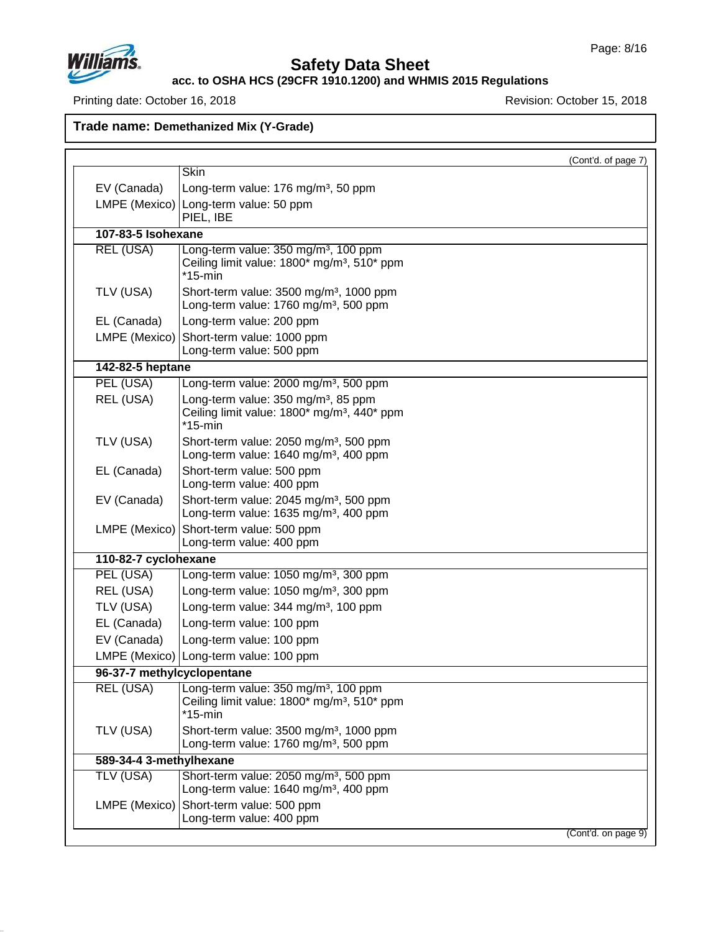

# **Safety Data Sheet**

**acc. to OSHA HCS (29CFR 1910.1200) and WHMIS 2015 Regulations**

Printing date: October 16, 2018 **Printing date: October 16, 2018** 

|                            |                                                                                                                           | (Cont'd. of page 7) |
|----------------------------|---------------------------------------------------------------------------------------------------------------------------|---------------------|
|                            | <b>Skin</b>                                                                                                               |                     |
| EV (Canada)                | Long-term value: 176 mg/m <sup>3</sup> , 50 ppm                                                                           |                     |
|                            | LMPE (Mexico) Long-term value: 50 ppm<br>PIEL, IBE                                                                        |                     |
| 107-83-5 Isohexane         |                                                                                                                           |                     |
| <b>REL (USA)</b>           | Long-term value: 350 mg/m <sup>3</sup> , 100 ppm<br>Ceiling limit value: 1800* mg/m <sup>3</sup> , 510* ppm<br>$*$ 15-min |                     |
| TLV (USA)                  | Short-term value: 3500 mg/m <sup>3</sup> , 1000 ppm<br>Long-term value: 1760 mg/m <sup>3</sup> , 500 ppm                  |                     |
| EL (Canada)                | Long-term value: 200 ppm                                                                                                  |                     |
| LMPE (Mexico)              | Short-term value: 1000 ppm<br>Long-term value: 500 ppm                                                                    |                     |
| 142-82-5 heptane           |                                                                                                                           |                     |
| PEL (USA)                  | Long-term value: 2000 mg/m <sup>3</sup> , 500 ppm                                                                         |                     |
| REL (USA)                  | Long-term value: 350 mg/m <sup>3</sup> , 85 ppm<br>Ceiling limit value: 1800* mg/m <sup>3</sup> , 440* ppm<br>*15-min     |                     |
| TLV (USA)                  | Short-term value: 2050 mg/m <sup>3</sup> , 500 ppm<br>Long-term value: 1640 mg/m <sup>3</sup> , 400 ppm                   |                     |
| EL (Canada)                | Short-term value: 500 ppm<br>Long-term value: 400 ppm                                                                     |                     |
| EV (Canada)                | Short-term value: 2045 mg/m <sup>3</sup> , 500 ppm<br>Long-term value: 1635 mg/m <sup>3</sup> , 400 ppm                   |                     |
|                            | LMPE (Mexico) Short-term value: 500 ppm<br>Long-term value: 400 ppm                                                       |                     |
| 110-82-7 cyclohexane       |                                                                                                                           |                     |
| PEL (USA)                  | Long-term value: 1050 mg/m <sup>3</sup> , 300 ppm                                                                         |                     |
| REL (USA)                  | Long-term value: 1050 mg/m <sup>3</sup> , 300 ppm                                                                         |                     |
| TLV (USA)                  | Long-term value: 344 mg/m <sup>3</sup> , 100 ppm                                                                          |                     |
| EL (Canada)                | Long-term value: 100 ppm                                                                                                  |                     |
| EV (Canada)                | Long-term value: 100 ppm                                                                                                  |                     |
|                            | LMPE (Mexico) Long-term value: 100 ppm                                                                                    |                     |
| 96-37-7 methylcyclopentane |                                                                                                                           |                     |
| <b>REL (USA)</b>           | Long-term value: 350 mg/m <sup>3</sup> , 100 ppm<br>Ceiling limit value: 1800* mg/m <sup>3</sup> , 510* ppm<br>*15-min    |                     |
| TLV (USA)                  | Short-term value: 3500 mg/m <sup>3</sup> , 1000 ppm<br>Long-term value: 1760 mg/m <sup>3</sup> , 500 ppm                  |                     |
| 589-34-4 3-methylhexane    |                                                                                                                           |                     |
| TLV (USA)                  | Short-term value: 2050 mg/m <sup>3</sup> , 500 ppm<br>Long-term value: 1640 mg/m <sup>3</sup> , 400 ppm                   |                     |
|                            | LMPE (Mexico) Short-term value: 500 ppm<br>Long-term value: 400 ppm                                                       |                     |
|                            |                                                                                                                           | (Cont'd. on page 9) |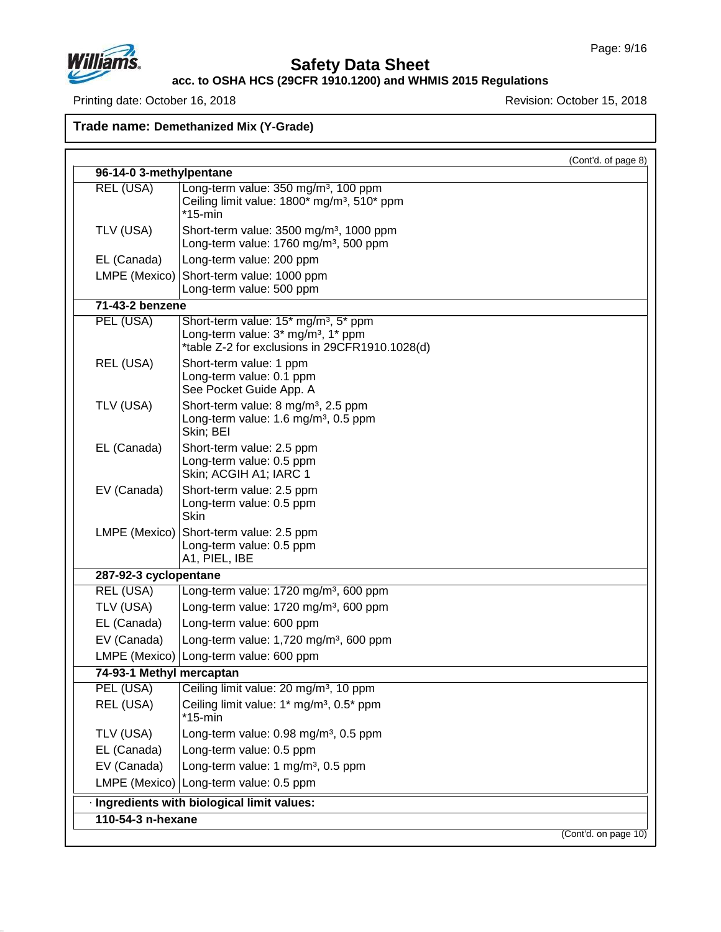

## **Safety Data Sheet**

**acc. to OSHA HCS (29CFR 1910.1200) and WHMIS 2015 Regulations**

Printing date: October 16, 2018 **Printing date: October 16, 2018** 

|                          |                                                                                                                                                      | (Cont'd. of page 8) |
|--------------------------|------------------------------------------------------------------------------------------------------------------------------------------------------|---------------------|
| 96-14-0 3-methylpentane  |                                                                                                                                                      |                     |
| <b>REL (USA)</b>         | Long-term value: 350 mg/m <sup>3</sup> , 100 ppm<br>Ceiling limit value: 1800* mg/m <sup>3</sup> , 510* ppm<br>$*15$ -min                            |                     |
| TLV (USA)                | Short-term value: 3500 mg/m <sup>3</sup> , 1000 ppm<br>Long-term value: 1760 mg/m <sup>3</sup> , 500 ppm                                             |                     |
| EL (Canada)              | Long-term value: 200 ppm                                                                                                                             |                     |
| LMPE (Mexico)            | Short-term value: 1000 ppm<br>Long-term value: 500 ppm                                                                                               |                     |
| 71-43-2 benzene          |                                                                                                                                                      |                     |
| PEL (USA)                | Short-term value: 15* mg/m <sup>3</sup> , 5* ppm<br>Long-term value: 3* mg/m <sup>3</sup> , 1* ppm<br>*table Z-2 for exclusions in 29CFR1910.1028(d) |                     |
| REL (USA)                | Short-term value: 1 ppm<br>Long-term value: 0.1 ppm<br>See Pocket Guide App. A                                                                       |                     |
| TLV (USA)                | Short-term value: 8 mg/m <sup>3</sup> , 2.5 ppm<br>Long-term value: 1.6 mg/m <sup>3</sup> , 0.5 ppm<br>Skin; BEI                                     |                     |
| EL (Canada)              | Short-term value: 2.5 ppm<br>Long-term value: 0.5 ppm<br>Skin; ACGIH A1; IARC 1                                                                      |                     |
| EV (Canada)              | Short-term value: 2.5 ppm<br>Long-term value: 0.5 ppm<br><b>Skin</b>                                                                                 |                     |
| LMPE (Mexico)            | Short-term value: 2.5 ppm<br>Long-term value: 0.5 ppm<br>A1, PIEL, IBE                                                                               |                     |
| 287-92-3 cyclopentane    |                                                                                                                                                      |                     |
| REL (USA)                | Long-term value: 1720 mg/m <sup>3</sup> , 600 ppm                                                                                                    |                     |
| TLV (USA)                | Long-term value: 1720 mg/m <sup>3</sup> , 600 ppm                                                                                                    |                     |
| EL (Canada)              | Long-term value: 600 ppm                                                                                                                             |                     |
| EV (Canada)              | Long-term value: 1,720 mg/m <sup>3</sup> , 600 ppm                                                                                                   |                     |
|                          | LMPE (Mexico)   Long-term value: 600 ppm                                                                                                             |                     |
| 74-93-1 Methyl mercaptan |                                                                                                                                                      |                     |
| PEL (USA)                | Ceiling limit value: 20 mg/m <sup>3</sup> , 10 ppm                                                                                                   |                     |
| REL (USA)                | Ceiling limit value: 1* mg/m <sup>3</sup> , 0.5* ppm<br>$*15$ -min                                                                                   |                     |
| TLV (USA)                | Long-term value: 0.98 mg/m <sup>3</sup> , 0.5 ppm                                                                                                    |                     |
| EL (Canada)              | Long-term value: 0.5 ppm                                                                                                                             |                     |
| EV (Canada)              | Long-term value: 1 mg/m <sup>3</sup> , 0.5 ppm                                                                                                       |                     |
|                          | LMPE (Mexico) Long-term value: 0.5 ppm                                                                                                               |                     |
|                          | · Ingredients with biological limit values:                                                                                                          |                     |
| 110-54-3 n-hexane        |                                                                                                                                                      |                     |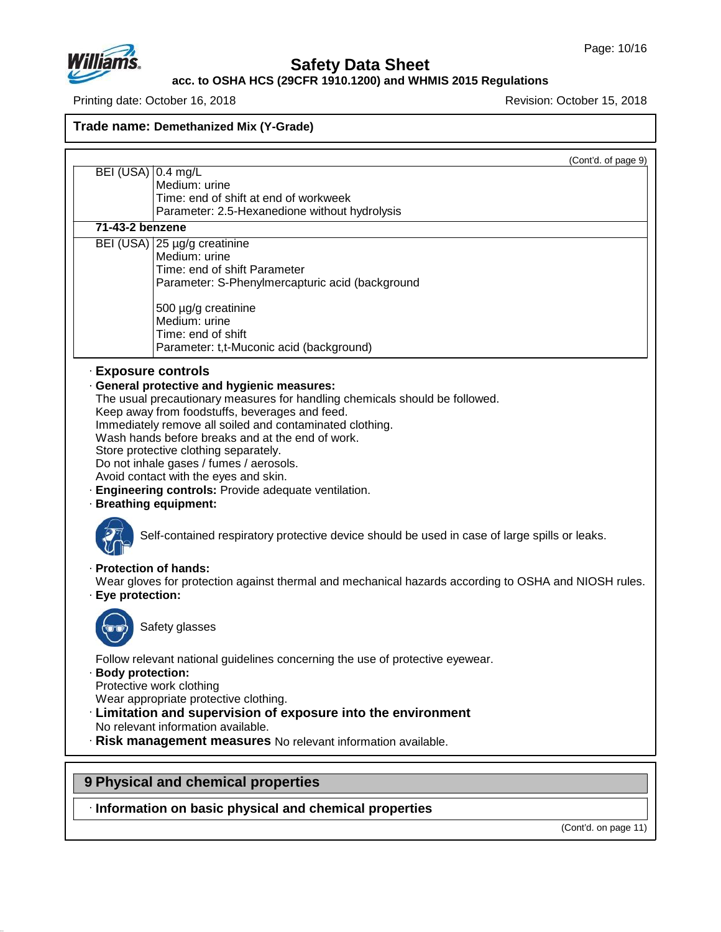

**acc. to OSHA HCS (29CFR 1910.1200) and WHMIS 2015 Regulations**

Printing date: October 16, 2018 **Printing date: October 16, 2018** 

## **Trade name: Demethanized Mix (Y-Grade)**

|                                           | (Cont'd. of page 9)                                                                                                                                                                                                                                                                                                                                                                                                                                                                                          |
|-------------------------------------------|--------------------------------------------------------------------------------------------------------------------------------------------------------------------------------------------------------------------------------------------------------------------------------------------------------------------------------------------------------------------------------------------------------------------------------------------------------------------------------------------------------------|
| BEI (USA)   0.4 mg/L                      | Medium: urine                                                                                                                                                                                                                                                                                                                                                                                                                                                                                                |
|                                           | Time: end of shift at end of workweek                                                                                                                                                                                                                                                                                                                                                                                                                                                                        |
|                                           | Parameter: 2.5-Hexanedione without hydrolysis                                                                                                                                                                                                                                                                                                                                                                                                                                                                |
| $71-43-2$ benzene                         |                                                                                                                                                                                                                                                                                                                                                                                                                                                                                                              |
|                                           | BEI (USA) 25 µg/g creatinine                                                                                                                                                                                                                                                                                                                                                                                                                                                                                 |
|                                           | Medium: urine                                                                                                                                                                                                                                                                                                                                                                                                                                                                                                |
|                                           | Time: end of shift Parameter                                                                                                                                                                                                                                                                                                                                                                                                                                                                                 |
|                                           | Parameter: S-Phenylmercapturic acid (background                                                                                                                                                                                                                                                                                                                                                                                                                                                              |
|                                           | 500 µg/g creatinine                                                                                                                                                                                                                                                                                                                                                                                                                                                                                          |
|                                           | Medium: urine                                                                                                                                                                                                                                                                                                                                                                                                                                                                                                |
|                                           | Time: end of shift                                                                                                                                                                                                                                                                                                                                                                                                                                                                                           |
|                                           | Parameter: t,t-Muconic acid (background)                                                                                                                                                                                                                                                                                                                                                                                                                                                                     |
|                                           | · General protective and hygienic measures:<br>The usual precautionary measures for handling chemicals should be followed.<br>Keep away from foodstuffs, beverages and feed.<br>Immediately remove all soiled and contaminated clothing.<br>Wash hands before breaks and at the end of work.<br>Store protective clothing separately.<br>Do not inhale gases / fumes / aerosols.<br>Avoid contact with the eyes and skin.<br>· Engineering controls: Provide adequate ventilation.<br>· Breathing equipment: |
|                                           | Self-contained respiratory protective device should be used in case of large spills or leaks.                                                                                                                                                                                                                                                                                                                                                                                                                |
| · Protection of hands:<br>Eye protection: | Wear gloves for protection against thermal and mechanical hazards according to OSHA and NIOSH rules.                                                                                                                                                                                                                                                                                                                                                                                                         |
|                                           | Safety glasses                                                                                                                                                                                                                                                                                                                                                                                                                                                                                               |
| <b>Body protection:</b>                   | Follow relevant national guidelines concerning the use of protective eyewear.<br>Protective work clothing<br>Wear appropriate protective clothing.<br>· Limitation and supervision of exposure into the environment<br>No relevant information available.<br>· Risk management measures No relevant information available.                                                                                                                                                                                   |

# **9 Physical and chemical properties**

47.0.13

· **Information on basic physical and chemical properties**

(Cont'd. on page 11)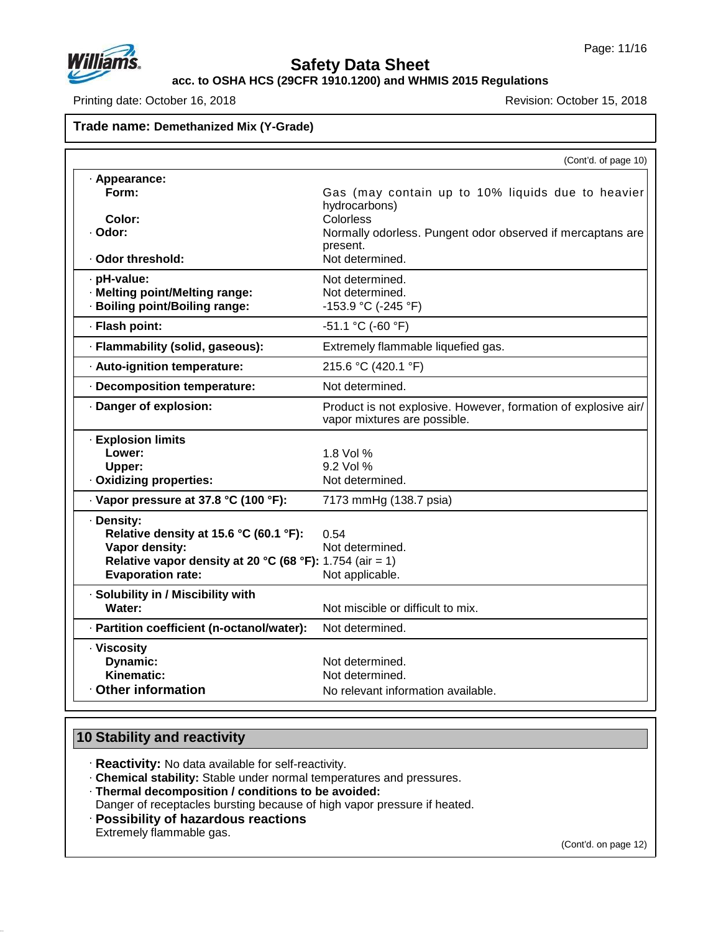

**acc. to OSHA HCS (29CFR 1910.1200) and WHMIS 2015 Regulations**

Printing date: October 16, 2018 **Printing date: October 15, 2018** 

## **Trade name: Demethanized Mix (Y-Grade)**

|                                                          | (Cont'd. of page 10)                                                                           |
|----------------------------------------------------------|------------------------------------------------------------------------------------------------|
| · Appearance:                                            |                                                                                                |
| Form:                                                    | Gas (may contain up to 10% liquids due to heavier<br>hydrocarbons)                             |
| Color:                                                   | Colorless                                                                                      |
| · Odor:                                                  | Normally odorless. Pungent odor observed if mercaptans are                                     |
| · Odor threshold:                                        | present.<br>Not determined.                                                                    |
|                                                          |                                                                                                |
| · pH-value:                                              | Not determined.                                                                                |
| · Melting point/Melting range:                           | Not determined.                                                                                |
| · Boiling point/Boiling range:                           | $-153.9$ °C (-245 °F)                                                                          |
| · Flash point:                                           | $-51.1$ °C ( $-60$ °F)                                                                         |
| · Flammability (solid, gaseous):                         | Extremely flammable liquefied gas.                                                             |
| · Auto-ignition temperature:                             | 215.6 °C (420.1 °F)                                                                            |
| · Decomposition temperature:                             | Not determined.                                                                                |
| · Danger of explosion:                                   | Product is not explosive. However, formation of explosive air/<br>vapor mixtures are possible. |
| <b>Explosion limits</b>                                  |                                                                                                |
| Lower:                                                   | 1.8 Vol %                                                                                      |
| Upper:                                                   | 9.2 Vol %                                                                                      |
| · Oxidizing properties:                                  | Not determined.                                                                                |
| · Vapor pressure at 37.8 °C (100 °F):                    | 7173 mmHg (138.7 psia)                                                                         |
| · Density:                                               |                                                                                                |
| Relative density at 15.6 °C (60.1 °F):                   | 0.54                                                                                           |
| Vapor density:                                           | Not determined.                                                                                |
| Relative vapor density at 20 °C (68 °F): 1.754 (air = 1) |                                                                                                |
| <b>Evaporation rate:</b>                                 | Not applicable.                                                                                |
| · Solubility in / Miscibility with                       |                                                                                                |
| Water:                                                   | Not miscible or difficult to mix.                                                              |
| · Partition coefficient (n-octanol/water):               | Not determined.                                                                                |
| · Viscosity                                              |                                                                                                |
| Dynamic:                                                 | Not determined.                                                                                |
| Kinematic:                                               | Not determined.                                                                                |
| Other information                                        | No relevant information available.                                                             |

## **10 Stability and reactivity**

· **Reactivity:** No data available for self-reactivity.

· **Chemical stability:** Stable under normal temperatures and pressures.

· **Thermal decomposition / conditions to be avoided:**

Danger of receptacles bursting because of high vapor pressure if heated.

· **Possibility of hazardous reactions**

Extremely flammable gas.

47.0.13

(Cont'd. on page 12)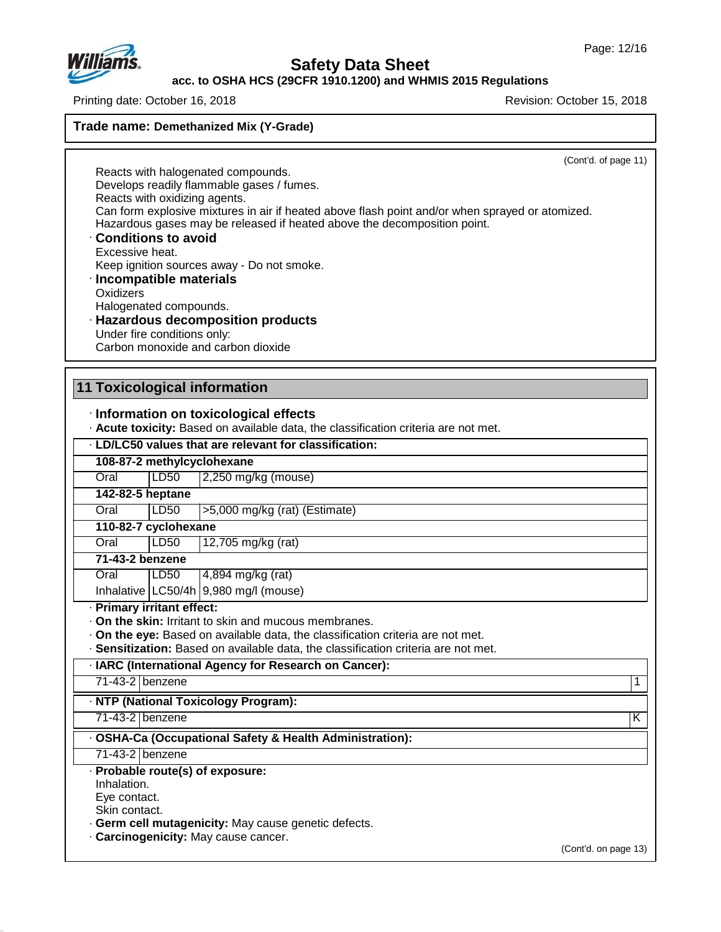

**acc. to OSHA HCS (29CFR 1910.1200) and WHMIS 2015 Regulations**

Printing date: October 16, 2018 **Revision: October 15, 2018** Revision: October 15, 2018

**Trade name: Demethanized Mix (Y-Grade)**

(Cont'd. of page 11)

Reacts with halogenated compounds. Develops readily flammable gases / fumes. Reacts with oxidizing agents. Can form explosive mixtures in air if heated above flash point and/or when sprayed or atomized. Hazardous gases may be released if heated above the decomposition point.

- · **Conditions to avoid** Excessive heat. Keep ignition sources away - Do not smoke.
- · **Incompatible materials Oxidizers** Halogenated compounds.

#### · **Hazardous decomposition products** Under fire conditions only: Carbon monoxide and carbon dioxide

### **11 Toxicological information**

### · **Information on toxicological effects**

· **Acute toxicity:** Based on available data, the classification criteria are not met.

#### · **LD/LC50 values that are relevant for classification:**

**108-87-2 methylcyclohexane** Oral LD50 2,250 mg/kg (mouse) **142-82-5 heptane** Oral LD50 >5,000 mg/kg (rat) (Estimate) **110-82-7 cyclohexane** Oral LD50 12,705 mg/kg (rat) **71-43-2 benzene** Oral LD50 4,894 mg/kg (rat) Inhalative  $\lfloor$  LC50/4h $\rfloor$ 9,980 mg/l (mouse) · **Primary irritant effect:** · **On the skin:** Irritant to skin and mucous membranes. · **On the eye:** Based on available data, the classification criteria are not met. · **Sensitization:** Based on available data, the classification criteria are not met. · **IARC (International Agency for Research on Cancer):** 71-43-2 benzene 1 · **NTP (National Toxicology Program):** 71-43-2 benzene K · **OSHA-Ca (Occupational Safety & Health Administration):** 71-43-2 benzene · **Probable route(s) of exposure:** Inhalation. Eye contact. Skin contact.

- · **Germ cell mutagenicity:** May cause genetic defects.
- · **Carcinogenicity:** May cause cancer.

47.0.13

(Cont'd. on page 13)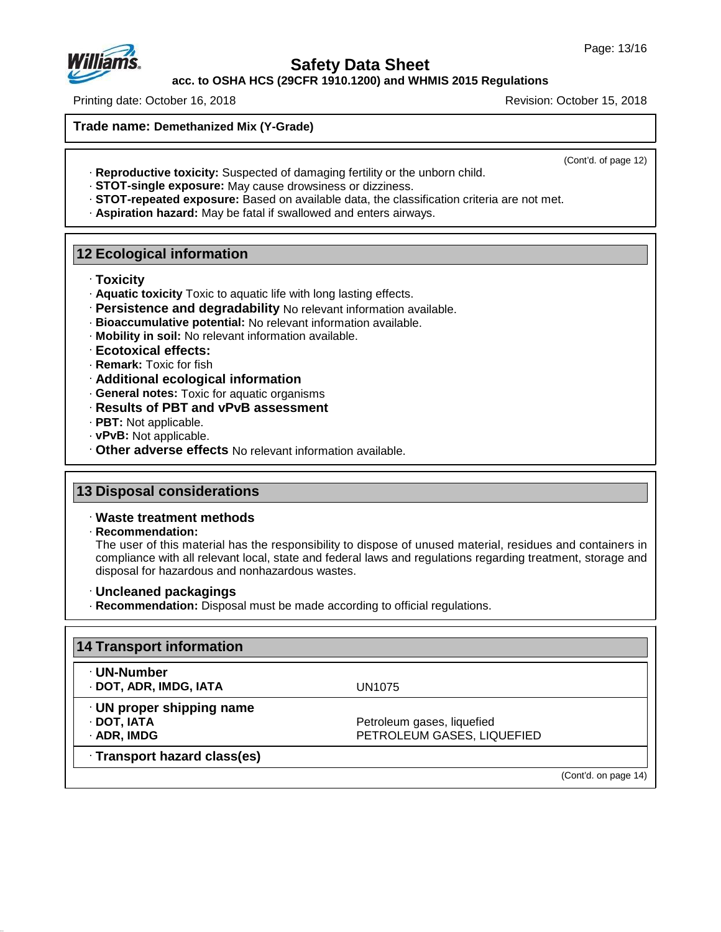

**acc. to OSHA HCS (29CFR 1910.1200) and WHMIS 2015 Regulations**

Printing date: October 16, 2018 **Revision: October 15, 2018** Revision: October 15, 2018

**Trade name: Demethanized Mix (Y-Grade)**

(Cont'd. of page 12)

- · **Reproductive toxicity:** Suspected of damaging fertility or the unborn child.
- · **STOT-single exposure:** May cause drowsiness ordizziness.
- · **STOT-repeated exposure:** Based on available data, the classification criteria are not met.
- · **Aspiration hazard:** May be fatal if swallowed and enters airways.

## **12 Ecological information**

- · **Toxicity**
- · **Aquatic toxicity** Toxic to aquatic life with long lasting effects.
- · **Persistence and degradability** No relevant information available.
- · **Bioaccumulative potential:** No relevant information available.
- · **Mobility in soil:** No relevant information available.
- · **Ecotoxical effects:**
- · **Remark:** Toxic for fish
- · **Additional ecological information**
- · **General notes:** Toxic for aquatic organisms
- · **Results of PBT and vPvB assessment**
- · **PBT:** Not applicable.
- · **vPvB:** Not applicable.
- · **Other adverse effects** No relevant information available.

## **13 Disposal considerations**

#### · **Waste treatment methods**

· **Recommendation:**

47.0.13

The user of this material has the responsibility to dispose of unused material, residues and containers in compliance with all relevant local, state and federal laws and regulations regarding treatment, storage and disposal for hazardous and nonhazardous wastes.

- · **Uncleaned packagings**
- · **Recommendation:** Disposal must be made according to official regulations.

| ∙ UN-Number                     |                            |
|---------------------------------|----------------------------|
| · DOT, ADR, IMDG, IATA          | UN1075                     |
| $\cdot$ UN proper shipping name |                            |
| · DOT, IATA                     | Petroleum gases, liquefied |
| · ADR, IMDG                     | PETROLEUM GASES, LIQUEFIED |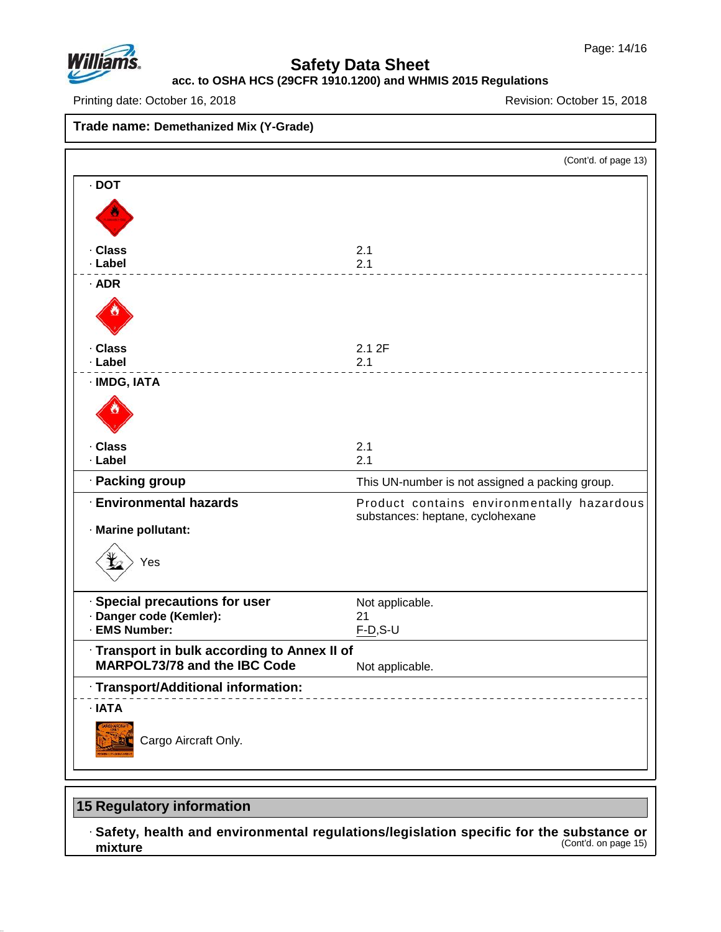

### **acc. to OSHA HCS (29CFR 1910.1200) and WHMIS 2015 Regulations**

Printing date: October 16, 2018 **Printing date: October 16, 2018** Revision: October 15, 2018

**Trade name: Demethanized Mix (Y-Grade)** (Cont'd. of page 13) · **DOT** · **Class** 2.1 · **Label** 2.1 · **ADR** · **Class** 2.1 2F · **Label** 2.1 · **IMDG, IATA** · **Class** 2.1 · **Label** 2.1 · **Packing group** This UN-number is notassigned a packing group. · **Environmental hazards** Product contains environmentally hazardous substances: heptane, cyclohexane · **Marine pollutant:** Yes · **Special precautions for user** Not applicable. · **Danger code (Kemler):** 21  $\cdot$  **EMS** Number: · **Transport in bulk according to Annex II of MARPOL73/78** and the IBC Code Not applicable. · **Transport/Additional information:** · **IATA** Cargo Aircraft Only.

## **15 Regulatory information**

47.0.13

· **Safety, health and environmental regulations/legislation specific for the substance or mixture** (Cont'd. on page 15)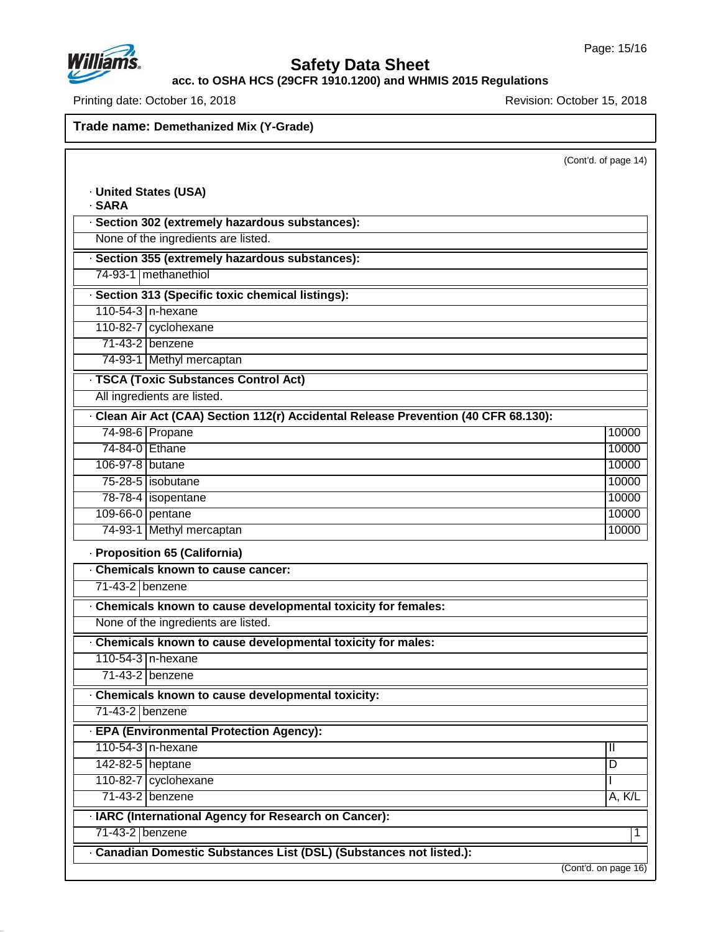

# **Safety Data Sheet**

**acc. to OSHA HCS (29CFR 1910.1200) and WHMIS 2015 Regulations**

Printing date: October 16, 2018 **Printing date: October 16, 2018** 

| · SARA<br>· Section 302 (extremely hazardous substances):                                           |               |
|-----------------------------------------------------------------------------------------------------|---------------|
| None of the ingredients are listed.                                                                 |               |
| · Section 355 (extremely hazardous substances):                                                     |               |
| 74-93-1 methanethiol                                                                                |               |
| · Section 313 (Specific toxic chemical listings):                                                   |               |
| 110-54-3 n-hexane                                                                                   |               |
| 110-82-7 cyclohexane                                                                                |               |
| 71-43-2 benzene                                                                                     |               |
| 74-93-1 Methyl mercaptan                                                                            |               |
| · TSCA (Toxic Substances Control Act)                                                               |               |
| All ingredients are listed.                                                                         |               |
| · Clean Air Act (CAA) Section 112(r) Accidental Release Prevention (40 CFR 68.130):                 |               |
| 74-98-6 Propane                                                                                     | 10000         |
| 74-84-0 Ethane                                                                                      | 10000         |
| 106-97-8 butane                                                                                     | 10000         |
| 75-28-5   isobutane                                                                                 | 10000         |
| 78-78-4 isopentane                                                                                  | 10000         |
| 109-66-0 pentane                                                                                    | 10000         |
| 74-93-1 Methyl mercaptan                                                                            | 10000         |
|                                                                                                     |               |
| · Proposition 65 (California)<br>Chemicals known to cause cancer:                                   |               |
| 71-43-2 benzene                                                                                     |               |
|                                                                                                     |               |
| Chemicals known to cause developmental toxicity for females:<br>None of the ingredients are listed. |               |
|                                                                                                     |               |
| Chemicals known to cause developmental toxicity for males:                                          |               |
| 110-54-3   n-hexane                                                                                 |               |
| 71-43-2 benzene                                                                                     |               |
| Chemicals known to cause developmental toxicity:                                                    |               |
| 71-43-2 benzene                                                                                     |               |
| · EPA (Environmental Protection Agency):                                                            |               |
| 110-54-3 n-hexane                                                                                   | $\mathbf{II}$ |
| 142-82-5 heptane                                                                                    | D             |
| 110-82-7 cyclohexane                                                                                |               |
| 71-43-2 benzene                                                                                     | A, K/L        |
| · IARC (International Agency for Research on Cancer):                                               |               |
| 71-43-2 benzene                                                                                     | 1             |